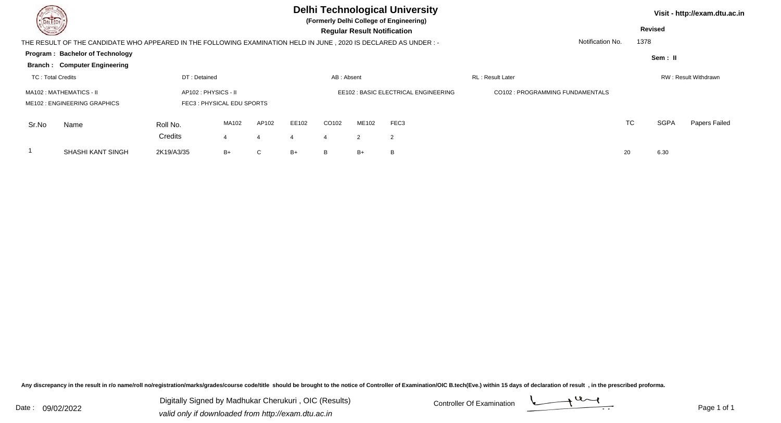| <b>Consulta</b>                                                                                                    | DEL TECH                                                                      |                                                  |       |       | <b>Delhi Technological University</b><br>(Formerly Delhi College of Engineering)<br><b>Regular Result Notification</b> |                                      |            |                        |                                  |                  | Visit - http://exam.dtu.ac.in<br><b>Revised</b> |             |                      |  |
|--------------------------------------------------------------------------------------------------------------------|-------------------------------------------------------------------------------|--------------------------------------------------|-------|-------|------------------------------------------------------------------------------------------------------------------------|--------------------------------------|------------|------------------------|----------------------------------|------------------|-------------------------------------------------|-------------|----------------------|--|
| THE RESULT OF THE CANDIDATE WHO APPEARED IN THE FOLLOWING EXAMINATION HELD IN JUNE , 2020 IS DECLARED AS UNDER : - |                                                                               |                                                  |       |       |                                                                                                                        |                                      |            |                        |                                  | Notification No. | 1378                                            |             |                      |  |
|                                                                                                                    | <b>Program: Bachelor of Technology</b><br><b>Branch: Computer Engineering</b> |                                                  |       |       |                                                                                                                        |                                      |            |                        |                                  |                  |                                                 | Sem: II     |                      |  |
| <b>TC: Total Credits</b>                                                                                           |                                                                               | DT: Detained                                     |       |       | AB: Absent                                                                                                             |                                      |            |                        | <b>RL: Result Later</b>          |                  |                                                 |             | RW: Result Withdrawn |  |
| MA102 : MATHEMATICS - II<br>ME102 : ENGINEERING GRAPHICS                                                           |                                                                               | AP102: PHYSICS - II<br>FEC3: PHYSICAL EDU SPORTS |       |       |                                                                                                                        | EE102 : BASIC ELECTRICAL ENGINEERING |            |                        | CO102 : PROGRAMMING FUNDAMENTALS |                  |                                                 |             |                      |  |
| Sr.No                                                                                                              | Name                                                                          | Roll No.<br>Credits                              | MA102 | AP102 | EE102                                                                                                                  | CO102<br>$\overline{4}$              | ME102<br>2 | FEC3<br>$\overline{2}$ |                                  |                  | <b>TC</b>                                       | <b>SGPA</b> | Papers Failed        |  |
|                                                                                                                    | <b>SHASHI KANT SINGH</b>                                                      | 2K19/A3/35                                       | B+    | С     | $B+$                                                                                                                   | B                                    | $B+$       | B                      |                                  | 20               |                                                 | 6.30        |                      |  |

Any discrepancy in the result in r/o name/roll no/registration/marks/grades/course code/title should be brought to the notice of Controller of Examination/OIC B.tech(Eve.) within 15 days of declaration of result ,in the p